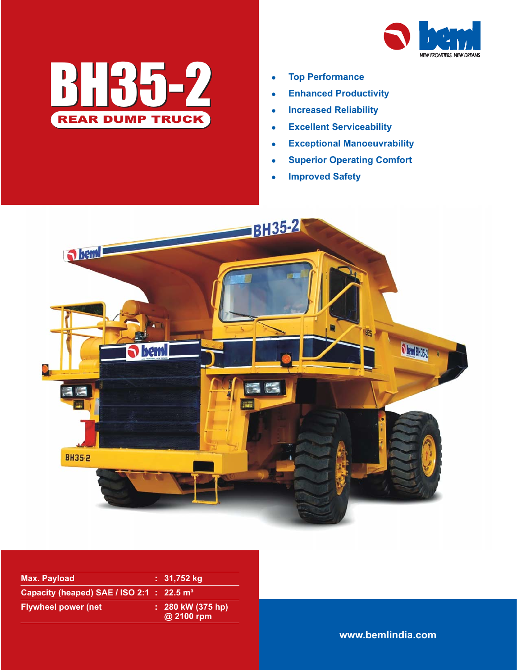



- $\bullet$ **Top Performance**
- $\bullet$ **Enhanced Productivity**
- $\bullet$ **Increased Reliability**
- $\bullet$ **Excellent Serviceability**
- $\bullet$ **Exceptional Manoeuvrability**
- $\bullet$ **Superior Operating Comfort**
- $\bullet$ **Improved Safety**



| Max. Payload                                          | : 31,752 kg                         |
|-------------------------------------------------------|-------------------------------------|
| Capacity (heaped) SAE / ISO 2:1 : 22.5 m <sup>3</sup> |                                     |
| <b>Flywheel power (net</b>                            | $: 280$ kW (375 hp)<br>$@$ 2100 rpm |

**www.bemlindia.com**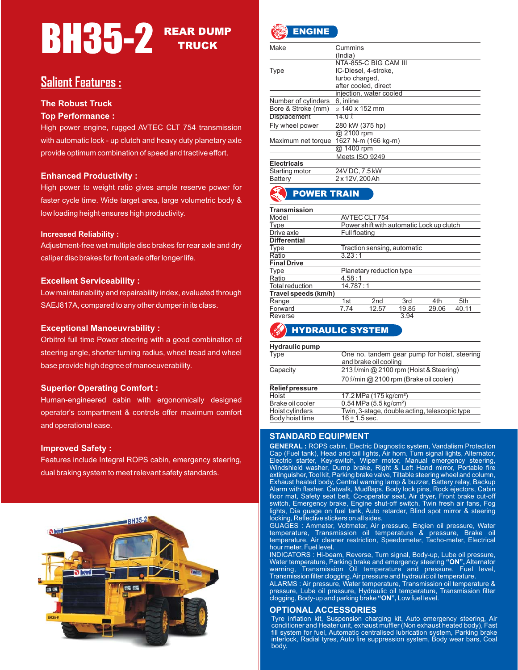# **BH35-2** REAR DUMP **TRUCK**

# **Salient Features :**

#### **The Robust Truck**

#### **Top Performance :**

High power engine, rugged AVTEC CLT 754 transmission with automatic lock - up clutch and heavy duty planetary axle provide optimum combination of speed and tractive effort.

#### **Enhanced Productivity :**

High power to weight ratio gives ample reserve power for faster cycle time. Wide target area, large volumetric body & low loading height ensures high productivity.

#### **Increased Reliability :**

Adjustment-free wet multiple disc brakes for rear axle and dry caliper disc brakes for front axle offer longer life.

#### **Excellent Serviceability :**

Low maintainability and repairability index, evaluated through SAEJ817A, compared to any other dumper in its class.

#### **Exceptional Manoeuvrability :**

Orbitrol full time Power steering with a good combination of steering angle, shorter turning radius, wheel tread and wheel base provide high degree of manoeuverability.

#### **Superior Operating Comfort :**

Human-engineered cabin with ergonomically designed operator's compartment & controls offer maximum comfort and operational ease.

#### **Improved Safety :**

Features include Integral ROPS cabin, emergency steering, dual braking system to meet relevant safety standards.





| Make                | Cummins                      |
|---------------------|------------------------------|
|                     | (India)                      |
|                     | NTA-855-C BIG CAM III        |
| <b>Type</b>         | IC-Diesel, 4-stroke,         |
|                     | turbo charged,               |
|                     | after cooled, direct         |
|                     | injection, water cooled      |
| Number of cylinders | 6, inline                    |
| Bore & Stroke (mm)  | $\alpha$ 140 x 152 mm        |
| <b>Displacement</b> | 14.0 l                       |
| Fly wheel power     | 280 kW (375 hp)              |
|                     | @ 2100 rpm                   |
| Maximum net torque  | 1627 N-m (166 kg-m)          |
|                     | $\overline{\omega}$ 1400 rpm |
|                     | Meets ISO 9249               |
| <b>Electricals</b>  |                              |
| Starting motor      | 24V DC, 7.5 kW               |
| Battery             | 2 x 12V, 200 Ah              |

# POWER TRAIN

| <b>Transmission</b>  |                                           |                          |                             |       |       |
|----------------------|-------------------------------------------|--------------------------|-----------------------------|-------|-------|
| Model                | AVTEC CLT 754                             |                          |                             |       |       |
| <b>Type</b>          | Power shift with automatic Lock up clutch |                          |                             |       |       |
| Drive axle           | <b>Full floating</b>                      |                          |                             |       |       |
| <b>Differential</b>  |                                           |                          |                             |       |       |
| Type                 |                                           |                          | Traction sensing, automatic |       |       |
| Ratio                | 3.23:1                                    |                          |                             |       |       |
| <b>Final Drive</b>   |                                           |                          |                             |       |       |
| <b>Type</b>          |                                           | Planetary reduction type |                             |       |       |
| Ratio                | 4.58:1                                    |                          |                             |       |       |
| Total reduction      | 14.787:1                                  |                          |                             |       |       |
| Travel speeds (km/h) |                                           |                          |                             |       |       |
| Range                | 1st                                       | 2 <sub>nd</sub>          | 3rd                         | 4th   | 5th   |
| Forward              | 7.74                                      | 12.57                    | 19.85                       | 29.06 | 40.11 |
| Reverse              |                                           |                          | 3.94                        |       |       |
| $\sim$               |                                           |                          |                             |       |       |

# HYDRAULIC SYSTEM

| Hydraulic pump         |                                                                       |
|------------------------|-----------------------------------------------------------------------|
| Type                   | One no. tandem gear pump for hoist, steering<br>and brake oil cooling |
| Capacity               | 213 <i>l/min @ 2100 rpm (Hoist &amp; Steering)</i>                    |
|                        | 70 l/min @ 2100 rpm (Brake oil cooler)                                |
| <b>Relief pressure</b> |                                                                       |
| Hoist                  | 17.2 MPa (175 kg/cm <sup>2</sup> )                                    |
| Brake oil cooler       | $0.54$ MPa (5.5 kg/cm <sup>2</sup> )                                  |
| Hoist cylinders        | Twin, 3-stage, double acting, telescopic type                         |
| Body hoist time        | $16 + 1.5$ sec.                                                       |

#### **STANDARD EQUIPMENT**

**GENERAL :** ROPS cabin, Electric Diagnostic system, Vandalism Protection Cap (Fuel tank), Head and tail lights, Air horn, Turn signal lights, Alternator, Electric starter, Key-switch, Wiper motor, Manual emergency steering, Windshield washer, Dump brake, Right & Left Hand mirror, Portable fire extinguisher, Tool kit, Parking brake valve, Tiltable steering wheel and column, Exhaust heated body, Central warning lamp & buzzer, Battery relay, Backup Alarm with flasher, Catwalk, Mudflaps, Body lock pins, Rock ejectors, Cabin floor mat, Safety seat belt, Co-operator seat, Air dryer, Front brake cut-off switch, Emergency brake, Engine shut-off switch, Twin fresh air fans, Fog lights, Dia guage on fuel tank, Auto retarder, Blind spot mirror & steering locking, Reflective stickers on all sides.

GUAGES : Ammeter, Voltmeter, Air pressure, Engien oil pressure, Water temperature, Transmission oil temperature & pressure, Brake oil temperature, Air cleaner restriction, Speedometer, Tacho-meter, Electrical hour meter, Fuel level.

**"ON",** INDICATORS : Hi-beam, Reverse, Turn signal, Body-up, Lube oil pressure, Water temperature, Parking brake and emergency steering "ON", Alternator warning, Transmission Oil temperature and pressure, Fuel level, Transmission filter clogging,Air pressure and hydraulic oil temperature.

clogging, Body-up and parking brake "ON", Low fuel level. ALARMS : Air pressure, Water temperature, Transmission oil temperature & pressure, Lube oil pressure, Hydraulic oil temperature, Transmission filter

#### **OPTIONAL ACCESSORIES**

Tyre inflation kit, Suspension charging kit, Auto emergency steering, Air conditioner and Heater unit, exhaust muffler (Non exhaust heated body), Fast fill system for fuel, Automatic centralised lubrication system, Parking brake interlock, Radial tyres, Auto fire suppression system, Body wear bars, Coal body.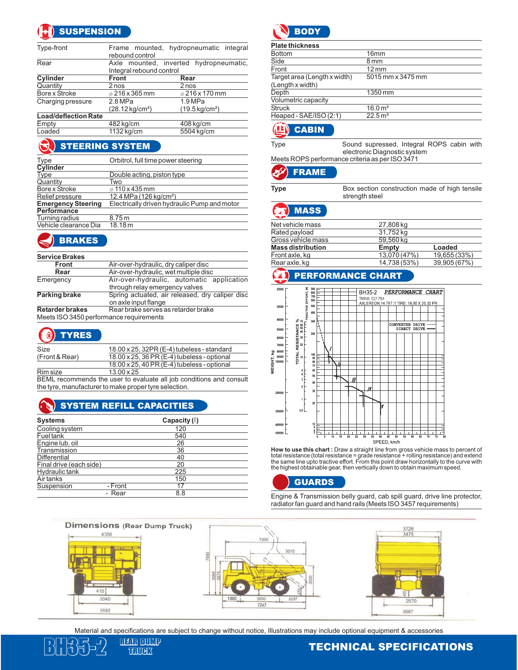# **SUSPENSION**

| Type-front                  | rebound control                                                    | Frame mounted, hydropneumatic integral |  |
|-----------------------------|--------------------------------------------------------------------|----------------------------------------|--|
| Rear                        | Axle mounted, inverted hydropneumatic,<br>Integral rebound control |                                        |  |
| Cylinder                    | <b>Front</b>                                                       | Rear                                   |  |
| Quantity                    | 2 nos                                                              | 2 nos                                  |  |
| Bore x Stroke               | $\varphi$ 216 x 365 mm                                             | $\varphi$ 216 x 170 mm                 |  |
| Charging pressure           | 2.8 MPa                                                            | 1.9 MPa                                |  |
|                             | $(28.12 \text{ kg/cm}^2)$                                          | $(19.5 \,\mathrm{kg/cm^2})$            |  |
| <b>Load/deflection Rate</b> |                                                                    |                                        |  |
| Empty                       | 482 kg/cm                                                          | 408 kg/cm                              |  |
| Loaded                      | 1132 kg/cm                                                         | 5504 kg/cm                             |  |

# **STEERING SYSTEM**

| <b>Type</b>               | Orbitrol, full time power steering           |
|---------------------------|----------------------------------------------|
| <b>Cylinder</b>           |                                              |
| <b>Type</b>               | Double acting, piston type                   |
| Quantity                  | Two                                          |
| Bore x Stroke             | $\varphi$ 110 x 435 mm                       |
| Relief pressure           | 12.4 MPa (126 kg/cm <sup>2</sup> )           |
| <b>Emergency Steering</b> | Electrically driven hydraulic Pump and motor |
| <b>Performance</b>        |                                              |
| Turning radius            | 8.75 m                                       |
| Vehicle clearance Dia     | 18.18 m                                      |
|                           |                                              |

# BRAKES

#### **Service Brakes**

| Front                                   | Air-over-hydraulic, dry caliper disc            |  |  |
|-----------------------------------------|-------------------------------------------------|--|--|
| Rear                                    | Air-over-hydraulic, wet multiple disc           |  |  |
| Emergency                               | Air-over-hydraulic, automatic application       |  |  |
|                                         | through relay emergency valves                  |  |  |
| <b>Parking brake</b>                    | Spring actuated, air released, dry caliper disc |  |  |
|                                         | on axle input flange                            |  |  |
| <b>Retarder brakes</b>                  | Rear brake serves as retarder brake             |  |  |
| Meets ISO 3450 performance requirements |                                                 |  |  |
|                                         |                                                 |  |  |

# O TYRES

| Size           | 18.00 x 25, 32PR (E-4) tubeless - standard          |
|----------------|-----------------------------------------------------|
| (Front & Rear) | 18.00 x 25, 36 PR (E-4) tubeless - optional         |
|                | $18.00 \times 25$ , 40 PR (E-4) tubeless - optional |
| Rim size       | $13.00 \times 25$                                   |
|                |                                                     |

BEML recommends the user to evaluate all job conditions and consult the tyre, manufacturer to make proper tyre selection.

## SYSTEM REFILL CAPACITIES

| <b>Systems</b>          |         | Capacity $(\ell)$ |  |
|-------------------------|---------|-------------------|--|
| Cooling system          |         | 120               |  |
| Fuel tank               |         | 540               |  |
| Engine lub. oil         |         | 26                |  |
| Transmission            |         | 36                |  |
| <b>Differential</b>     |         | 40                |  |
| Final drive (each side) |         | 20                |  |
| Hydraulic tank          |         | 225               |  |
| Air tanks               |         | 150               |  |
| Suspension              | - Front | 17                |  |
|                         | - Rear  | 8.8               |  |



| <b>Plate thickness</b>       |                       |
|------------------------------|-----------------------|
| <b>Bottom</b>                | 16 <sub>mm</sub>      |
| Side                         | 8 <sub>mm</sub>       |
| Front                        | $12 \,\mathrm{mm}$    |
| Target area (Length x width) | 5015 mm x 3475 mm     |
| (Length x width)             |                       |
| Depth                        | 1350 mm               |
| Volumetric capacity          |                       |
| <b>Struck</b>                | 16.0 m <sup>3</sup>   |
| Heaped - SAE/ISO (2:1)       | $22.5 \,\mathrm{m}^3$ |
|                              |                       |

### **CABIN**

Type Sound supressed, Integral ROPS cabin with electronic Diagnostic system Meets ROPS performance criteria as per ISO 3471

#### FRAME فزلع

|  |                | Box section construction made of high tensile |  |  |
|--|----------------|-----------------------------------------------|--|--|
|  | strength steel |                                               |  |  |

# MASS

| Net vehicle mass         | 27,808 kg    |              |
|--------------------------|--------------|--------------|
| Rated payload            | 31,752 kg    |              |
| Gross vehicle mass       | 59,560 kg    |              |
| <b>Mass distribution</b> | Empty        | Loaded       |
| Front axle, kg           | 13,070 (47%) | 19,655 (33%) |
| Rear axle, kg            | 14,738 (53%) | 39,905 (67%) |
|                          |              |              |

## PERFORMANCE CHART



**How to use this chart :** Draw a straight line from gross vehicle mass to percent of<br>total resistance (total resistance = grade resistance + rolling resistance) and extend the same line upto tractive effort. From this point draw horizontally to the curve with the highest obtainable gear, then vertically down to obtain maximum speed.

GUARDS

Engine & Transmission belly guard, cab spill guard, drive line protector, radiator fan guard and hand rails (Meets ISO 3457 requirements)



Material and specifications are subject to change without notice, Illustrations may include optional equipment & accessories



**TRUCK** 

 $\frac{\text{BFR}}{\text{SFR}^2}$  and  $\frac{\text{BFR}}{\text{SFR}^2}$  and  $\frac{\text{BFR}}{\text{SFR}^2}$  and  $\frac{\text{BFR}}{\text{SFR}^2}$  and  $\frac{\text{BFR}}{\text{SFR}^2}$  and  $\frac{\text{BFR}}{\text{SFR}^2}$  and  $\frac{\text{BFR}}{\text{SFR}^2}$  and  $\frac{\text{BFR}}{\text{SFR}^2}$  and  $\frac{\text{BFR}}{\text{SFR}^2}$  and  $\frac{\text{$